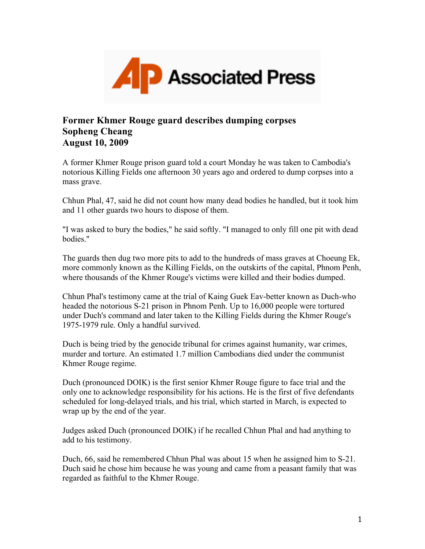

## **Former Khmer Rouge guard describes dumping corpses Sopheng Cheang August 10, 2009**

A former Khmer Rouge prison guard told a court Monday he was taken to Cambodia's notorious Killing Fields one afternoon 30 years ago and ordered to dump corpses into a mass grave.

Chhun Phal, 47, said he did not count how many dead bodies he handled, but it took him and 11 other guards two hours to dispose of them.

"I was asked to bury the bodies," he said softly. "I managed to only fill one pit with dead bodies."

The guards then dug two more pits to add to the hundreds of mass graves at Choeung Ek, more commonly known as the Killing Fields, on the outskirts of the capital, Phnom Penh, where thousands of the Khmer Rouge's victims were killed and their bodies dumped.

Chhun Phal's testimony came at the trial of Kaing Guek Eav-better known as Duch-who headed the notorious S-21 prison in Phnom Penh. Up to 16,000 people were tortured under Duch's command and later taken to the Killing Fields during the Khmer Rouge's 1975-1979 rule. Only a handful survived.

Duch is being tried by the genocide tribunal for crimes against humanity, war crimes, murder and torture. An estimated 1.7 million Cambodians died under the communist Khmer Rouge regime.

Duch (pronounced DOIK) is the first senior Khmer Rouge figure to face trial and the only one to acknowledge responsibility for his actions. He is the first of five defendants scheduled for long-delayed trials, and his trial, which started in March, is expected to wrap up by the end of the year.

Judges asked Duch (pronounced DOIK) if he recalled Chhun Phal and had anything to add to his testimony.

Duch, 66, said he remembered Chhun Phal was about 15 when he assigned him to S-21. Duch said he chose him because he was young and came from a peasant family that was regarded as faithful to the Khmer Rouge.